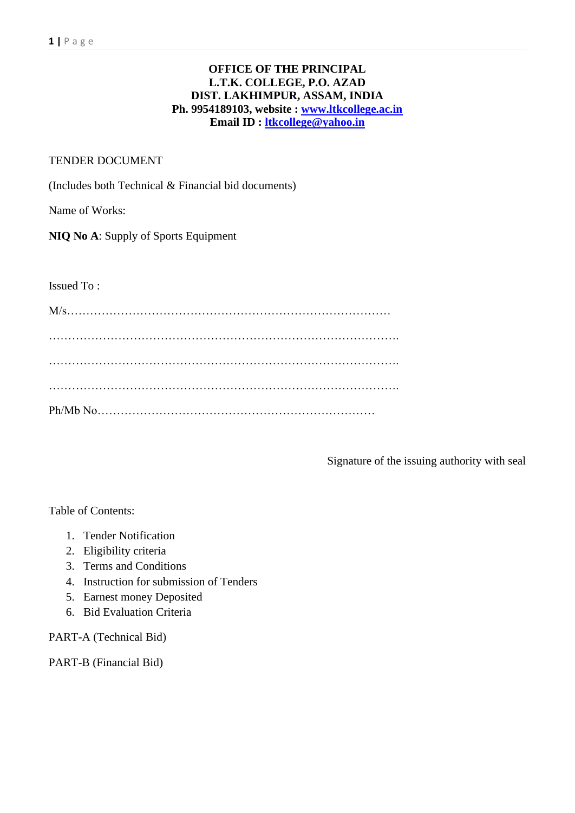#### **OFFICE OF THE PRINCIPAL L.T.K. COLLEGE, P.O. AZAD DIST. LAKHIMPUR, ASSAM, INDIA Ph. 9954189103, website : [www.ltkcollege.ac.in](http://www.ltkcollege.ac.in/) Email ID : [ltkcollege@yahoo.in](mailto:ltkcollege@yahoo.in)**

#### TENDER DOCUMENT

(Includes both Technical & Financial bid documents)

Name of Works:

**NIQ No A**: Supply of Sports Equipment

Issued To :

Signature of the issuing authority with seal

Table of Contents:

- 1. Tender Notification
- 2. Eligibility criteria
- 3. Terms and Conditions
- 4. Instruction for submission of Tenders
- 5. Earnest money Deposited
- 6. Bid Evaluation Criteria

PART-A (Technical Bid)

PART-B (Financial Bid)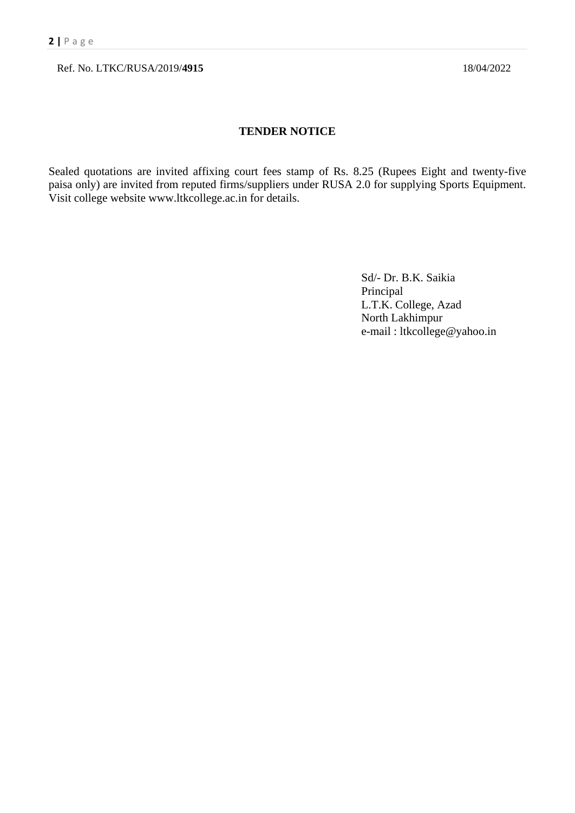Ref. No. LTKC/RUSA/2019/**4915** 18/04/2022

#### **TENDER NOTICE**

Sealed quotations are invited affixing court fees stamp of Rs. 8.25 (Rupees Eight and twenty-five paisa only) are invited from reputed firms/suppliers under RUSA 2.0 for supplying Sports Equipment. Visit college website www.ltkcollege.ac.in for details.

> Sd/- Dr. B.K. Saikia Principal L.T.K. College, Azad North Lakhimpur e-mail : ltkcollege@yahoo.in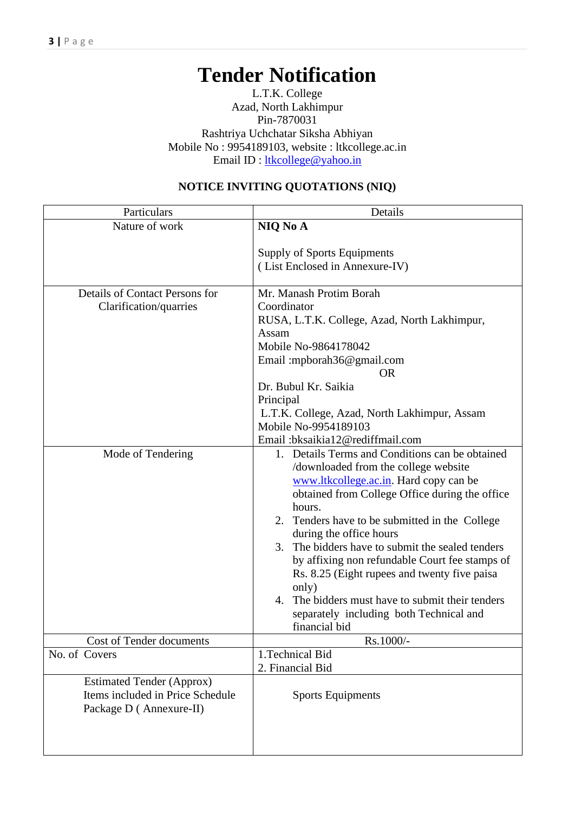# **Tender Notification**

L.T.K. College Azad, North Lakhimpur Pin-7870031 Rashtriya Uchchatar Siksha Abhiyan Mobile No : 9954189103, website : ltkcollege.ac.in Email ID : [ltkcollege@yahoo.in](mailto:ltkcollege@yahoo.in)

| Particulars                                                                                     | Details                                                                                                                                                                                                                                                                                                                                                                                                                                                                                                                                                         |
|-------------------------------------------------------------------------------------------------|-----------------------------------------------------------------------------------------------------------------------------------------------------------------------------------------------------------------------------------------------------------------------------------------------------------------------------------------------------------------------------------------------------------------------------------------------------------------------------------------------------------------------------------------------------------------|
| Nature of work                                                                                  | NIQ No A                                                                                                                                                                                                                                                                                                                                                                                                                                                                                                                                                        |
|                                                                                                 | Supply of Sports Equipments<br>(List Enclosed in Annexure-IV)                                                                                                                                                                                                                                                                                                                                                                                                                                                                                                   |
| Details of Contact Persons for<br>Clarification/quarries                                        | Mr. Manash Protim Borah<br>Coordinator<br>RUSA, L.T.K. College, Azad, North Lakhimpur,<br>Assam<br>Mobile No-9864178042<br>Email: mpborah36@gmail.com<br><b>OR</b><br>Dr. Bubul Kr. Saikia<br>Principal<br>L.T.K. College, Azad, North Lakhimpur, Assam<br>Mobile No-9954189103<br>Email:bksaikia12@rediffmail.com                                                                                                                                                                                                                                              |
| Mode of Tendering                                                                               | 1. Details Terms and Conditions can be obtained<br>/downloaded from the college website<br>www.ltkcollege.ac.in. Hard copy can be<br>obtained from College Office during the office<br>hours.<br>2. Tenders have to be submitted in the College<br>during the office hours<br>The bidders have to submit the sealed tenders<br>3.<br>by affixing non refundable Court fee stamps of<br>Rs. 8.25 (Eight rupees and twenty five paisa<br>only)<br>The bidders must have to submit their tenders<br>4.<br>separately including both Technical and<br>financial bid |
| Cost of Tender documents                                                                        | Rs.1000/-                                                                                                                                                                                                                                                                                                                                                                                                                                                                                                                                                       |
| No. of Covers                                                                                   | 1. Technical Bid<br>2. Financial Bid                                                                                                                                                                                                                                                                                                                                                                                                                                                                                                                            |
| <b>Estimated Tender (Approx)</b><br>Items included in Price Schedule<br>Package D (Annexure-II) | <b>Sports Equipments</b>                                                                                                                                                                                                                                                                                                                                                                                                                                                                                                                                        |

## **NOTICE INVITING QUOTATIONS (NIQ)**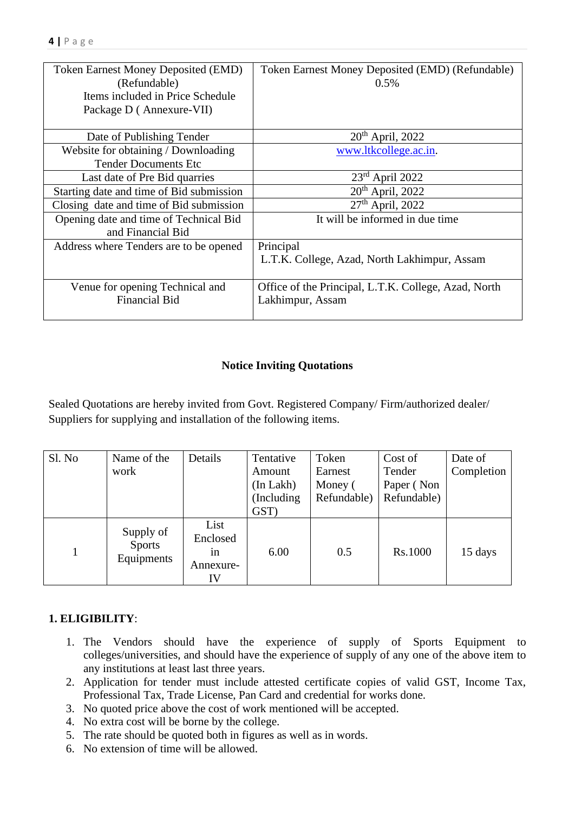| <b>Token Earnest Money Deposited (EMD)</b><br>(Refundable)<br>Items included in Price Schedule<br>Package D (Annexure-VII) | Token Earnest Money Deposited (EMD) (Refundable)<br>$0.5\%$ |
|----------------------------------------------------------------------------------------------------------------------------|-------------------------------------------------------------|
| Date of Publishing Tender                                                                                                  | $20th$ April, 2022                                          |
| Website for obtaining / Downloading                                                                                        | www.ltkcollege.ac.in.                                       |
| <b>Tender Documents Etc.</b>                                                                                               |                                                             |
| Last date of Pre Bid quarries                                                                                              | $23rd$ April 2022                                           |
| Starting date and time of Bid submission                                                                                   | $20th$ April, 2022                                          |
| Closing date and time of Bid submission                                                                                    | $27th$ April, 2022                                          |
| Opening date and time of Technical Bid<br>and Financial Bid                                                                | It will be informed in due time                             |
| Address where Tenders are to be opened                                                                                     | Principal                                                   |
|                                                                                                                            | L.T.K. College, Azad, North Lakhimpur, Assam                |
| Venue for opening Technical and                                                                                            | Office of the Principal, L.T.K. College, Azad, North        |
| <b>Financial Bid</b>                                                                                                       | Lakhimpur, Assam                                            |

## **Notice Inviting Quotations**

Sealed Quotations are hereby invited from Govt. Registered Company/ Firm/authorized dealer/ Suppliers for supplying and installation of the following items.

| Sl. No | Name of the                       | Details                                   | Tentative      | Token       | Cost of     | Date of    |
|--------|-----------------------------------|-------------------------------------------|----------------|-------------|-------------|------------|
|        | work                              |                                           | Amount         | Earnest     | Tender      | Completion |
|        |                                   |                                           | $(In$ Lakh $)$ | Money (     | Paper (Non  |            |
|        |                                   |                                           | (Including)    | Refundable) | Refundable) |            |
|        |                                   |                                           | GST)           |             |             |            |
|        | Supply of<br>Sports<br>Equipments | List<br>Enclosed<br>1n<br>Annexure-<br>IV | 6.00           | 0.5         | Rs.1000     | 15 days    |

## **1. ELIGIBILITY**:

- 1. The Vendors should have the experience of supply of Sports Equipment to colleges/universities, and should have the experience of supply of any one of the above item to any institutions at least last three years.
- 2. Application for tender must include attested certificate copies of valid GST, Income Tax, Professional Tax, Trade License, Pan Card and credential for works done.
- 3. No quoted price above the cost of work mentioned will be accepted.
- 4. No extra cost will be borne by the college.
- 5. The rate should be quoted both in figures as well as in words.
- 6. No extension of time will be allowed.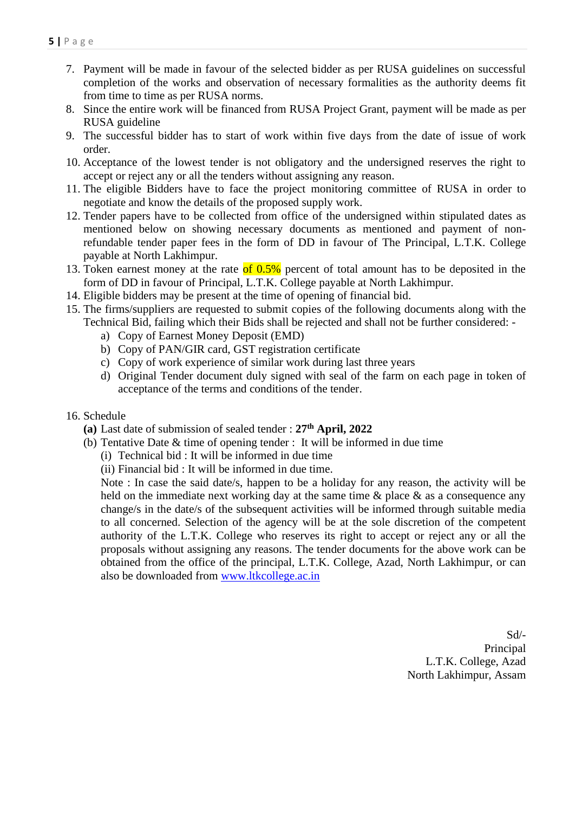- 7. Payment will be made in favour of the selected bidder as per RUSA guidelines on successful completion of the works and observation of necessary formalities as the authority deems fit from time to time as per RUSA norms.
- 8. Since the entire work will be financed from RUSA Project Grant, payment will be made as per RUSA guideline
- 9. The successful bidder has to start of work within five days from the date of issue of work order.
- 10. Acceptance of the lowest tender is not obligatory and the undersigned reserves the right to accept or reject any or all the tenders without assigning any reason.
- 11. The eligible Bidders have to face the project monitoring committee of RUSA in order to negotiate and know the details of the proposed supply work.
- 12. Tender papers have to be collected from office of the undersigned within stipulated dates as mentioned below on showing necessary documents as mentioned and payment of nonrefundable tender paper fees in the form of DD in favour of The Principal, L.T.K. College payable at North Lakhimpur.
- 13. Token earnest money at the rate of  $0.5\%$  percent of total amount has to be deposited in the form of DD in favour of Principal, L.T.K. College payable at North Lakhimpur.
- 14. Eligible bidders may be present at the time of opening of financial bid.
- 15. The firms/suppliers are requested to submit copies of the following documents along with the Technical Bid, failing which their Bids shall be rejected and shall not be further considered:
	- a) Copy of Earnest Money Deposit (EMD)
	- b) Copy of PAN/GIR card, GST registration certificate
	- c) Copy of work experience of similar work during last three years
	- d) Original Tender document duly signed with seal of the farm on each page in token of acceptance of the terms and conditions of the tender.

#### 16. Schedule

- **(a)** Last date of submission of sealed tender : **27 th April, 2022**
- (b) Tentative Date & time of opening tender : It will be informed in due time
	- (i) Technical bid : It will be informed in due time
	- (ii) Financial bid : It will be informed in due time.

Note : In case the said date/s, happen to be a holiday for any reason, the activity will be held on the immediate next working day at the same time  $\&$  place  $\&$  as a consequence any change/s in the date/s of the subsequent activities will be informed through suitable media to all concerned. Selection of the agency will be at the sole discretion of the competent authority of the L.T.K. College who reserves its right to accept or reject any or all the proposals without assigning any reasons. The tender documents for the above work can be obtained from the office of the principal, L.T.K. College, Azad, North Lakhimpur, or can also be downloaded from [www.ltkcollege.ac.in](http://www.ltkcollege.ac.in/)

> Sd/- Principal L.T.K. College, Azad North Lakhimpur, Assam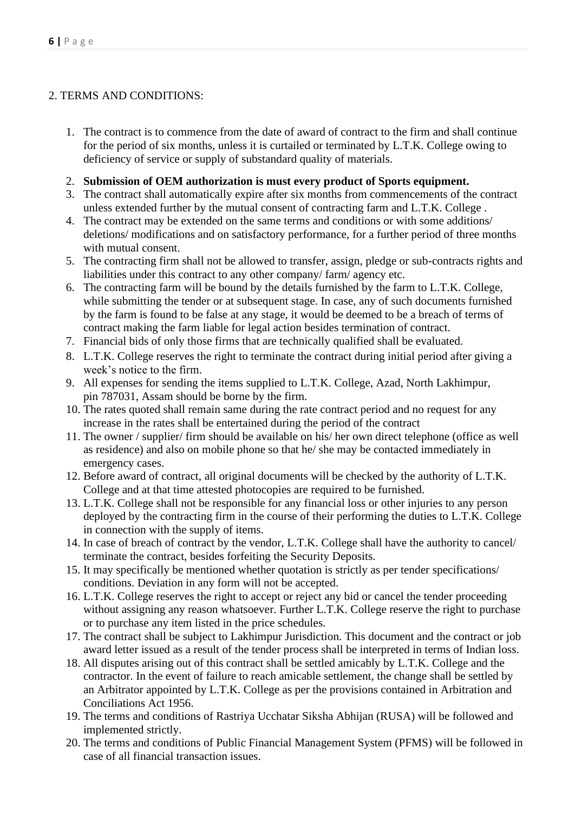## 2. TERMS AND CONDITIONS:

- 1. The contract is to commence from the date of award of contract to the firm and shall continue for the period of six months, unless it is curtailed or terminated by L.T.K. College owing to deficiency of service or supply of substandard quality of materials.
- 2. **Submission of OEM authorization is must every product of Sports equipment.**
- 3. The contract shall automatically expire after six months from commencements of the contract unless extended further by the mutual consent of contracting farm and L.T.K. College .
- 4. The contract may be extended on the same terms and conditions or with some additions/ deletions/ modifications and on satisfactory performance, for a further period of three months with mutual consent.
- 5. The contracting firm shall not be allowed to transfer, assign, pledge or sub-contracts rights and liabilities under this contract to any other company/ farm/ agency etc.
- 6. The contracting farm will be bound by the details furnished by the farm to L.T.K. College, while submitting the tender or at subsequent stage. In case, any of such documents furnished by the farm is found to be false at any stage, it would be deemed to be a breach of terms of contract making the farm liable for legal action besides termination of contract.
- 7. Financial bids of only those firms that are technically qualified shall be evaluated.
- 8. L.T.K. College reserves the right to terminate the contract during initial period after giving a week's notice to the firm.
- 9. All expenses for sending the items supplied to L.T.K. College, Azad, North Lakhimpur, pin 787031, Assam should be borne by the firm.
- 10. The rates quoted shall remain same during the rate contract period and no request for any increase in the rates shall be entertained during the period of the contract
- 11. The owner / supplier/ firm should be available on his/ her own direct telephone (office as well as residence) and also on mobile phone so that he/ she may be contacted immediately in emergency cases.
- 12. Before award of contract, all original documents will be checked by the authority of L.T.K. College and at that time attested photocopies are required to be furnished.
- 13. L.T.K. College shall not be responsible for any financial loss or other injuries to any person deployed by the contracting firm in the course of their performing the duties to L.T.K. College in connection with the supply of items.
- 14. In case of breach of contract by the vendor, L.T.K. College shall have the authority to cancel/ terminate the contract, besides forfeiting the Security Deposits.
- 15. It may specifically be mentioned whether quotation is strictly as per tender specifications/ conditions. Deviation in any form will not be accepted.
- 16. L.T.K. College reserves the right to accept or reject any bid or cancel the tender proceeding without assigning any reason whatsoever. Further L.T.K. College reserve the right to purchase or to purchase any item listed in the price schedules.
- 17. The contract shall be subject to Lakhimpur Jurisdiction. This document and the contract or job award letter issued as a result of the tender process shall be interpreted in terms of Indian loss.
- 18. All disputes arising out of this contract shall be settled amicably by L.T.K. College and the contractor. In the event of failure to reach amicable settlement, the change shall be settled by an Arbitrator appointed by L.T.K. College as per the provisions contained in Arbitration and Conciliations Act 1956.
- 19. The terms and conditions of Rastriya Ucchatar Siksha Abhijan (RUSA) will be followed and implemented strictly.
- 20. The terms and conditions of Public Financial Management System (PFMS) will be followed in case of all financial transaction issues.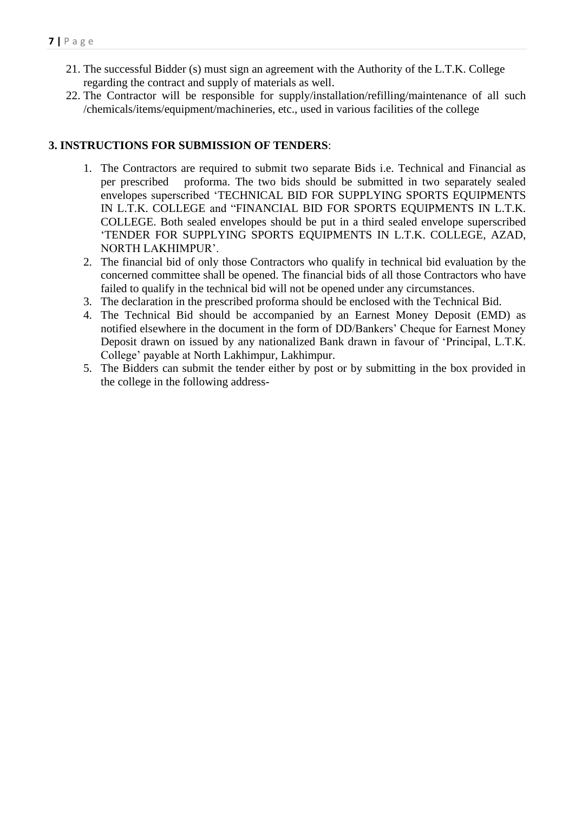- 21. The successful Bidder (s) must sign an agreement with the Authority of the L.T.K. College regarding the contract and supply of materials as well.
- 22. The Contractor will be responsible for supply/installation/refilling/maintenance of all such /chemicals/items/equipment/machineries, etc., used in various facilities of the college

#### **3. INSTRUCTIONS FOR SUBMISSION OF TENDERS**:

- 1. The Contractors are required to submit two separate Bids i.e. Technical and Financial as per prescribed proforma. The two bids should be submitted in two separately sealed envelopes superscribed 'TECHNICAL BID FOR SUPPLYING SPORTS EQUIPMENTS IN L.T.K. COLLEGE and "FINANCIAL BID FOR SPORTS EQUIPMENTS IN L.T.K. COLLEGE. Both sealed envelopes should be put in a third sealed envelope superscribed 'TENDER FOR SUPPLYING SPORTS EQUIPMENTS IN L.T.K. COLLEGE, AZAD, NORTH LAKHIMPUR'.
- 2. The financial bid of only those Contractors who qualify in technical bid evaluation by the concerned committee shall be opened. The financial bids of all those Contractors who have failed to qualify in the technical bid will not be opened under any circumstances.
- 3. The declaration in the prescribed proforma should be enclosed with the Technical Bid.
- 4. The Technical Bid should be accompanied by an Earnest Money Deposit (EMD) as notified elsewhere in the document in the form of DD/Bankers' Cheque for Earnest Money Deposit drawn on issued by any nationalized Bank drawn in favour of 'Principal, L.T.K. College' payable at North Lakhimpur, Lakhimpur.
- 5. The Bidders can submit the tender either by post or by submitting in the box provided in the college in the following address-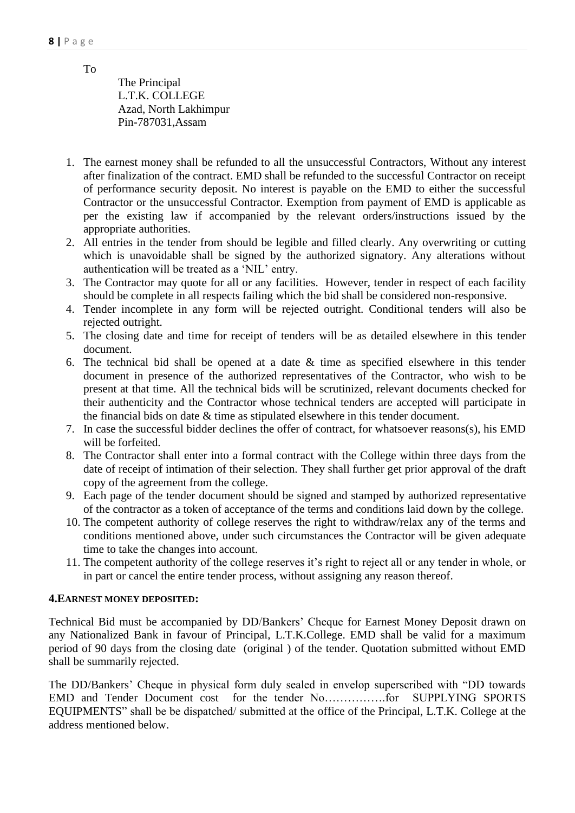To

The Principal L.T.K. COLLEGE Azad, North Lakhimpur Pin-787031,Assam

- 1. The earnest money shall be refunded to all the unsuccessful Contractors, Without any interest after finalization of the contract. EMD shall be refunded to the successful Contractor on receipt of performance security deposit. No interest is payable on the EMD to either the successful Contractor or the unsuccessful Contractor. Exemption from payment of EMD is applicable as per the existing law if accompanied by the relevant orders/instructions issued by the appropriate authorities.
- 2. All entries in the tender from should be legible and filled clearly. Any overwriting or cutting which is unavoidable shall be signed by the authorized signatory. Any alterations without authentication will be treated as a 'NIL' entry.
- 3. The Contractor may quote for all or any facilities. However, tender in respect of each facility should be complete in all respects failing which the bid shall be considered non-responsive.
- 4. Tender incomplete in any form will be rejected outright. Conditional tenders will also be rejected outright.
- 5. The closing date and time for receipt of tenders will be as detailed elsewhere in this tender document.
- 6. The technical bid shall be opened at a date  $\&$  time as specified elsewhere in this tender document in presence of the authorized representatives of the Contractor, who wish to be present at that time. All the technical bids will be scrutinized, relevant documents checked for their authenticity and the Contractor whose technical tenders are accepted will participate in the financial bids on date & time as stipulated elsewhere in this tender document.
- 7. In case the successful bidder declines the offer of contract, for whatsoever reasons(s), his EMD will be forfeited.
- 8. The Contractor shall enter into a formal contract with the College within three days from the date of receipt of intimation of their selection. They shall further get prior approval of the draft copy of the agreement from the college.
- 9. Each page of the tender document should be signed and stamped by authorized representative of the contractor as a token of acceptance of the terms and conditions laid down by the college.
- 10. The competent authority of college reserves the right to withdraw/relax any of the terms and conditions mentioned above, under such circumstances the Contractor will be given adequate time to take the changes into account.
- 11. The competent authority of the college reserves it's right to reject all or any tender in whole, or in part or cancel the entire tender process, without assigning any reason thereof.

#### **4.EARNEST MONEY DEPOSITED:**

Technical Bid must be accompanied by DD/Bankers' Cheque for Earnest Money Deposit drawn on any Nationalized Bank in favour of Principal, L.T.K.College. EMD shall be valid for a maximum period of 90 days from the closing date (original ) of the tender. Quotation submitted without EMD shall be summarily rejected.

The DD/Bankers' Cheque in physical form duly sealed in envelop superscribed with "DD towards EMD and Tender Document cost for the tender No…………….for SUPPLYING SPORTS EQUIPMENTS" shall be be dispatched/ submitted at the office of the Principal, L.T.K. College at the address mentioned below.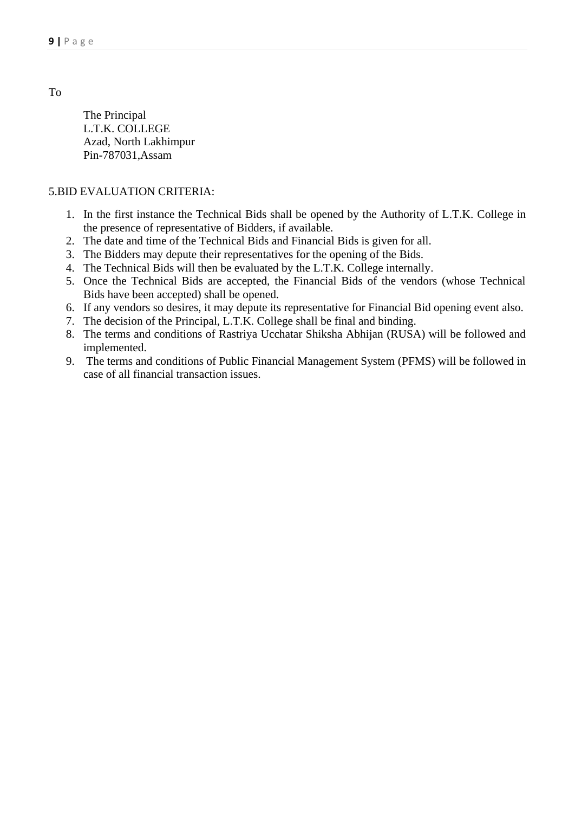To

The Principal L.T.K. COLLEGE Azad, North Lakhimpur Pin-787031,Assam

#### 5.BID EVALUATION CRITERIA:

- 1. In the first instance the Technical Bids shall be opened by the Authority of L.T.K. College in the presence of representative of Bidders, if available.
- 2. The date and time of the Technical Bids and Financial Bids is given for all.
- 3. The Bidders may depute their representatives for the opening of the Bids.
- 4. The Technical Bids will then be evaluated by the L.T.K. College internally.
- 5. Once the Technical Bids are accepted, the Financial Bids of the vendors (whose Technical Bids have been accepted) shall be opened.
- 6. If any vendors so desires, it may depute its representative for Financial Bid opening event also.
- 7. The decision of the Principal, L.T.K. College shall be final and binding.
- 8. The terms and conditions of Rastriya Ucchatar Shiksha Abhijan (RUSA) will be followed and implemented.
- 9. The terms and conditions of Public Financial Management System (PFMS) will be followed in case of all financial transaction issues.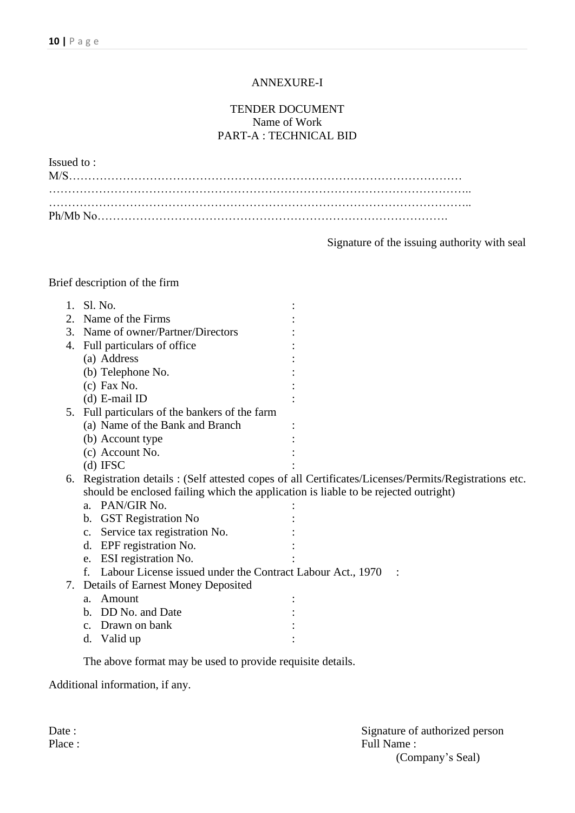#### ANNEXURE-I

#### TENDER DOCUMENT Name of Work PART-A : TECHNICAL BID

| Issued to: |  |  |
|------------|--|--|
|            |  |  |
|            |  |  |
|            |  |  |
|            |  |  |

Signature of the issuing authority with seal

## Brief description of the firm

|    | Sl. No.                                                                             |                                                                                                     |
|----|-------------------------------------------------------------------------------------|-----------------------------------------------------------------------------------------------------|
| 2. | Name of the Firms                                                                   |                                                                                                     |
|    | 3. Name of owner/Partner/Directors                                                  |                                                                                                     |
| 4. | Full particulars of office                                                          |                                                                                                     |
|    | (a) Address                                                                         |                                                                                                     |
|    | (b) Telephone No.                                                                   |                                                                                                     |
|    | $(c)$ Fax No.                                                                       |                                                                                                     |
|    | $(d)$ E-mail ID                                                                     |                                                                                                     |
|    | 5. Full particulars of the bankers of the farm                                      |                                                                                                     |
|    | (a) Name of the Bank and Branch                                                     |                                                                                                     |
|    | (b) Account type                                                                    |                                                                                                     |
|    | (c) Account No.                                                                     |                                                                                                     |
|    | $(d)$ IFSC                                                                          |                                                                                                     |
| 6. |                                                                                     | Registration details : (Self attested copes of all Certificates/Licenses/Permits/Registrations etc. |
|    | should be enclosed failing which the application is liable to be rejected outright) |                                                                                                     |
|    | PAN/GIR No.<br>a.                                                                   |                                                                                                     |
|    | <b>GST Registration No</b><br>b.                                                    |                                                                                                     |
|    | Service tax registration No.<br>$C_{\bullet}$                                       |                                                                                                     |
|    | EPF registration No.<br>d.                                                          |                                                                                                     |
|    | ESI registration No.<br>e.                                                          |                                                                                                     |
|    | Labour License issued under the Contract Labour Act., 1970<br>f.                    |                                                                                                     |
|    | 7. Details of Earnest Money Deposited                                               |                                                                                                     |
|    | Amount<br>a.                                                                        |                                                                                                     |
|    | DD No. and Date<br>b.                                                               |                                                                                                     |
|    | Drawn on bank<br>$C_{\bullet}$                                                      |                                                                                                     |
|    | Valid up<br>d.                                                                      |                                                                                                     |
|    |                                                                                     |                                                                                                     |

The above format may be used to provide requisite details.

Additional information, if any.

Date : Signature of authorized person Place : Full Name : (Company's Seal)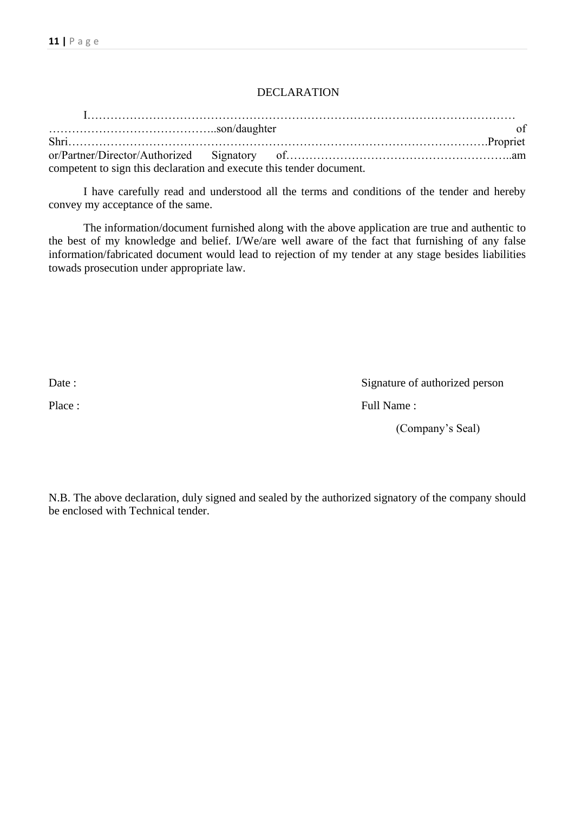#### DECLARATION

| competent to sign this declaration and execute this tender document. |  |  |
|----------------------------------------------------------------------|--|--|

I have carefully read and understood all the terms and conditions of the tender and hereby convey my acceptance of the same.

The information/document furnished along with the above application are true and authentic to the best of my knowledge and belief. I/We/are well aware of the fact that furnishing of any false information/fabricated document would lead to rejection of my tender at any stage besides liabilities towads prosecution under appropriate law.

Date : Signature of authorized person

Place : Full Name :

(Company's Seal)

N.B. The above declaration, duly signed and sealed by the authorized signatory of the company should be enclosed with Technical tender.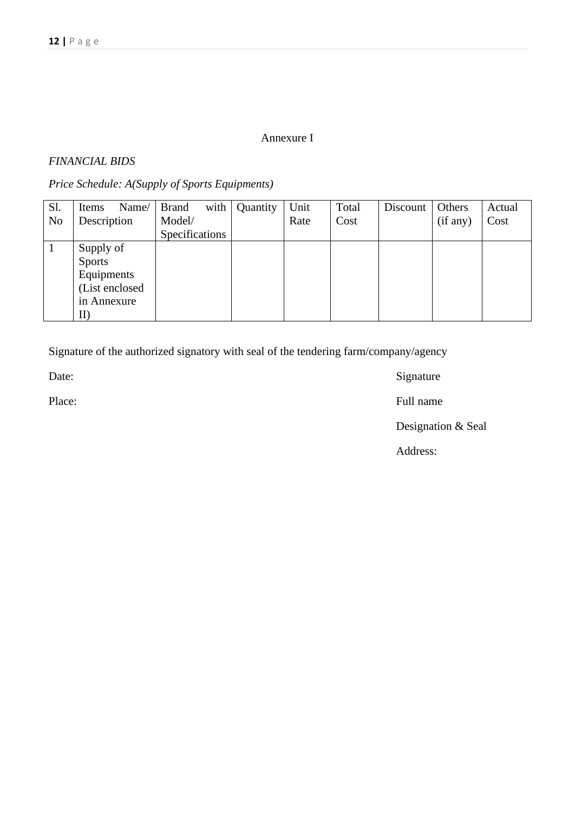#### Annexure I

#### *FINANCIAL BIDS*

## *Price Schedule: A(Supply of Sports Equipments)*

| S1.            | Name/<br>Items | with<br><b>Brand</b> | Quantity | Unit | Total | Discount | Others   | Actual |
|----------------|----------------|----------------------|----------|------|-------|----------|----------|--------|
| N <sub>o</sub> | Description    | Model/               |          | Rate | Cost  |          | (if any) | Cost   |
|                |                | Specifications       |          |      |       |          |          |        |
|                | Supply of      |                      |          |      |       |          |          |        |
|                | <b>Sports</b>  |                      |          |      |       |          |          |        |
|                | Equipments     |                      |          |      |       |          |          |        |
|                | (List enclosed |                      |          |      |       |          |          |        |
|                | in Annexure    |                      |          |      |       |          |          |        |
|                | II)            |                      |          |      |       |          |          |        |

Signature of the authorized signatory with seal of the tendering farm/company/agency

Date: Signature

Place: Full name

Designation & Seal

Address: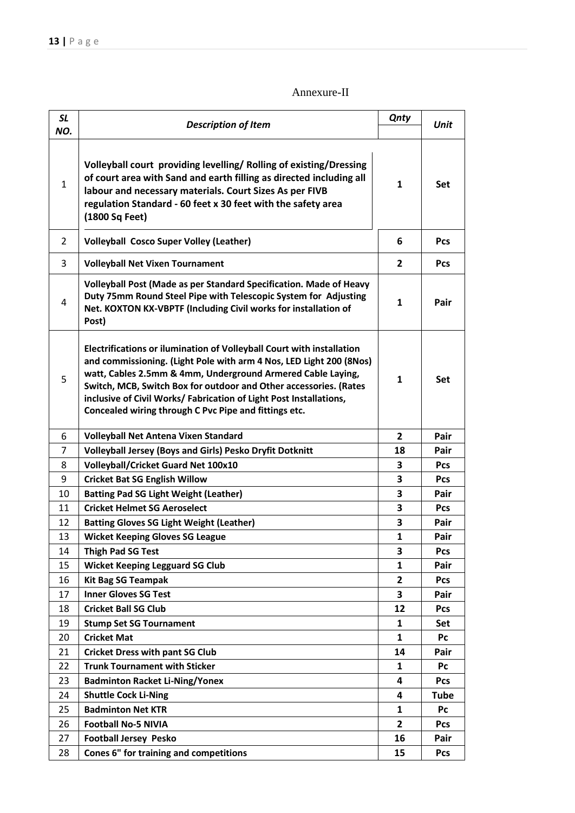## Annexure-II

| <b>SL</b><br>NO. | <b>Description of Item</b>                                                                                                                                                                                                                                                                                                                                                                                      | <b>Qnty</b>    | <b>Unit</b> |
|------------------|-----------------------------------------------------------------------------------------------------------------------------------------------------------------------------------------------------------------------------------------------------------------------------------------------------------------------------------------------------------------------------------------------------------------|----------------|-------------|
| $\mathbf{1}$     | Volleyball court providing levelling/Rolling of existing/Dressing<br>of court area with Sand and earth filling as directed including all<br>labour and necessary materials. Court Sizes As per FIVB<br>regulation Standard - 60 feet x 30 feet with the safety area<br>(1800 Sq Feet)                                                                                                                           | $\mathbf{1}$   | <b>Set</b>  |
| 2                | <b>Volleyball Cosco Super Volley (Leather)</b>                                                                                                                                                                                                                                                                                                                                                                  | 6              | <b>Pcs</b>  |
| 3                | <b>Volleyball Net Vixen Tournament</b>                                                                                                                                                                                                                                                                                                                                                                          | $\overline{2}$ | <b>Pcs</b>  |
| 4                | Volleyball Post (Made as per Standard Specification. Made of Heavy<br>Duty 75mm Round Steel Pipe with Telescopic System for Adjusting<br>Net. KOXTON KX-VBPTF (Including Civil works for installation of<br>Post)                                                                                                                                                                                               | $\mathbf{1}$   | Pair        |
| 5                | Electrifications or ilumination of Volleyball Court with installation<br>and commissioning. (Light Pole with arm 4 Nos, LED Light 200 (8Nos)<br>watt, Cables 2.5mm & 4mm, Underground Armered Cable Laying,<br>Switch, MCB, Switch Box for outdoor and Other accessories. (Rates<br>inclusive of Civil Works/ Fabrication of Light Post Installations,<br>Concealed wiring through C Pvc Pipe and fittings etc. | 1              | <b>Set</b>  |
| 6                | <b>Volleyball Net Antena Vixen Standard</b>                                                                                                                                                                                                                                                                                                                                                                     |                | Pair        |
| 7                | <b>Volleyball Jersey (Boys and Girls) Pesko Dryfit Dotknitt</b>                                                                                                                                                                                                                                                                                                                                                 | 18             | Pair        |
| 8                | <b>Volleyball/Cricket Guard Net 100x10</b>                                                                                                                                                                                                                                                                                                                                                                      | 3              | <b>Pcs</b>  |
| 9                | <b>Cricket Bat SG English Willow</b>                                                                                                                                                                                                                                                                                                                                                                            | 3              | Pcs         |
| 10               | <b>Batting Pad SG Light Weight (Leather)</b>                                                                                                                                                                                                                                                                                                                                                                    | 3              | Pair        |
| 11               | <b>Cricket Helmet SG Aeroselect</b>                                                                                                                                                                                                                                                                                                                                                                             | 3              | <b>Pcs</b>  |
| 12               | <b>Batting Gloves SG Light Weight (Leather)</b>                                                                                                                                                                                                                                                                                                                                                                 | 3              | Pair        |
| 13               | <b>Wicket Keeping Gloves SG League</b>                                                                                                                                                                                                                                                                                                                                                                          | 1              | Pair        |
| 14               | <b>Thigh Pad SG Test</b>                                                                                                                                                                                                                                                                                                                                                                                        | 3              | Pcs         |
| 15               | <b>Wicket Keeping Legguard SG Club</b>                                                                                                                                                                                                                                                                                                                                                                          | 1              | Pair        |
| 16               | <b>Kit Bag SG Teampak</b>                                                                                                                                                                                                                                                                                                                                                                                       | $\overline{2}$ | Pcs         |
| 17               | <b>Inner Gloves SG Test</b>                                                                                                                                                                                                                                                                                                                                                                                     | 3              | Pair        |
| 18               | <b>Cricket Ball SG Club</b>                                                                                                                                                                                                                                                                                                                                                                                     | 12             | <b>Pcs</b>  |
| 19               | <b>Stump Set SG Tournament</b>                                                                                                                                                                                                                                                                                                                                                                                  | $\mathbf{1}$   | Set         |
| 20               | <b>Cricket Mat</b>                                                                                                                                                                                                                                                                                                                                                                                              | $\mathbf{1}$   | Pc          |
| 21               | <b>Cricket Dress with pant SG Club</b>                                                                                                                                                                                                                                                                                                                                                                          | 14             | Pair        |
| 22               | <b>Trunk Tournament with Sticker</b>                                                                                                                                                                                                                                                                                                                                                                            | 1              | Pc          |
| 23               | <b>Badminton Racket Li-Ning/Yonex</b>                                                                                                                                                                                                                                                                                                                                                                           | 4              | <b>Pcs</b>  |
| 24               | <b>Shuttle Cock Li-Ning</b>                                                                                                                                                                                                                                                                                                                                                                                     | 4              | Tube        |
| 25               | <b>Badminton Net KTR</b>                                                                                                                                                                                                                                                                                                                                                                                        | 1              | Pc          |
| 26               | <b>Football No-5 NIVIA</b>                                                                                                                                                                                                                                                                                                                                                                                      | 2              | <b>Pcs</b>  |
| 27               | <b>Football Jersey Pesko</b>                                                                                                                                                                                                                                                                                                                                                                                    | 16             | Pair        |
| 28               | Cones 6" for training and competitions                                                                                                                                                                                                                                                                                                                                                                          | 15             | Pcs         |